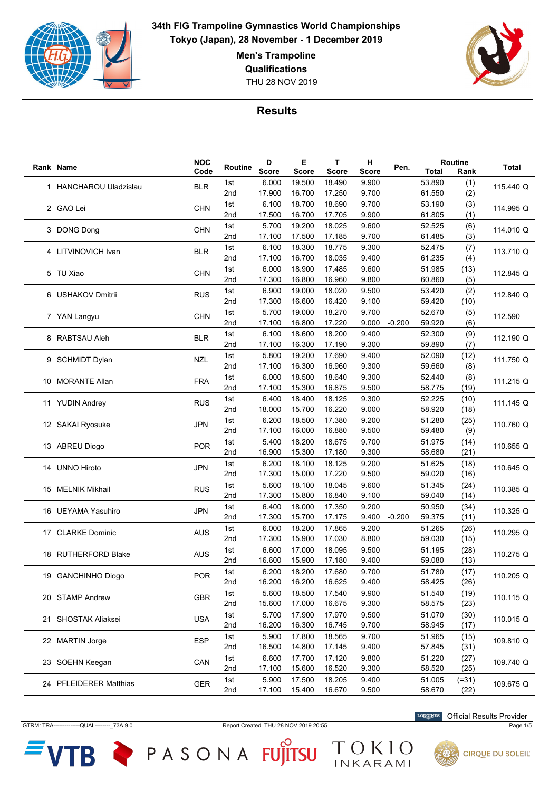

**Men's Trampoline**

**Qualifications**

THU 28 NOV 2019



**Results**

|  |                        | <b>NOC</b> |         | D            | Е            | т            | н     |          |        | Routine |              |
|--|------------------------|------------|---------|--------------|--------------|--------------|-------|----------|--------|---------|--------------|
|  | Rank Name              | Code       | Routine | <b>Score</b> | <b>Score</b> | <b>Score</b> | Score | Pen.     | Total  | Rank    | <b>Total</b> |
|  |                        |            | 1st     | 6.000        | 19.500       | 18.490       | 9.900 |          | 53.890 | (1)     |              |
|  | 1 HANCHAROU Uladzislau | <b>BLR</b> | 2nd     | 17.900       | 16.700       | 17.250       | 9.700 |          | 61.550 | (2)     | 115.440 Q    |
|  |                        |            |         |              |              |              |       |          |        |         |              |
|  | 2 GAO Lei              | <b>CHN</b> | 1st     | 6.100        | 18.700       | 18.690       | 9.700 |          | 53.190 | (3)     | 114.995 Q    |
|  |                        |            | 2nd     | 17.500       | 16.700       | 17.705       | 9.900 |          | 61.805 | (1)     |              |
|  | 3 DONG Dong            | <b>CHN</b> | 1st     | 5.700        | 19.200       | 18.025       | 9.600 |          | 52.525 | (6)     | 114.010 Q    |
|  |                        |            | 2nd     | 17.100       | 17.500       | 17.185       | 9.700 |          | 61.485 | (3)     |              |
|  |                        |            | 1st     | 6.100        | 18.300       | 18.775       | 9.300 |          | 52.475 | (7)     |              |
|  | 4 LITVINOVICH Ivan     | <b>BLR</b> | 2nd     | 17.100       | 16.700       | 18.035       | 9.400 |          | 61.235 | (4)     | 113.710 Q    |
|  |                        |            | 1st     | 6.000        | 18.900       | 17.485       | 9.600 |          | 51.985 | (13)    |              |
|  | 5 TU Xiao              | <b>CHN</b> |         |              |              |              |       |          |        |         | 112.845 Q    |
|  |                        |            | 2nd     | 17.300       | 16.800       | 16.960       | 9.800 |          | 60.860 | (5)     |              |
|  | 6 USHAKOV Dmitrii      | <b>RUS</b> | 1st     | 6.900        | 19.000       | 18.020       | 9.500 |          | 53.420 | (2)     | 112.840 Q    |
|  |                        |            | 2nd     | 17.300       | 16.600       | 16.420       | 9.100 |          | 59.420 | (10)    |              |
|  | 7 YAN Langyu           | <b>CHN</b> | 1st     | 5.700        | 19.000       | 18.270       | 9.700 |          | 52.670 | (5)     | 112.590      |
|  |                        |            | 2nd     | 17.100       | 16.800       | 17.220       | 9.000 | $-0.200$ | 59.920 | (6)     |              |
|  |                        |            | 1st     | 6.100        | 18.600       | 18.200       | 9.400 |          | 52.300 | (9)     |              |
|  | 8 RABTSAU Aleh         | <b>BLR</b> | 2nd     | 17.100       | 16.300       | 17.190       | 9.300 |          | 59.890 | (7)     | 112.190 Q    |
|  |                        |            | 1st     | 5.800        | 19.200       | 17.690       | 9.400 |          | 52.090 | (12)    |              |
|  | 9 SCHMIDT Dylan        | <b>NZL</b> | 2nd     | 17.100       | 16.300       | 16.960       | 9.300 |          | 59.660 | (8)     | 111.750 Q    |
|  |                        |            |         |              |              |              |       |          |        |         |              |
|  | 10 MORANTE Allan       | <b>FRA</b> | 1st     | 6.000        | 18.500       | 18.640       | 9.300 |          | 52.440 | (8)     | 111.215 Q    |
|  |                        |            | 2nd     | 17.100       | 15.300       | 16.875       | 9.500 |          | 58.775 | (19)    |              |
|  | 11 YUDIN Andrey        | <b>RUS</b> | 1st     | 6.400        | 18.400       | 18.125       | 9.300 |          | 52.225 | (10)    | 111.145 Q    |
|  |                        |            | 2nd     | 18.000       | 15.700       | 16.220       | 9.000 |          | 58.920 | (18)    |              |
|  | 12 SAKAI Ryosuke       | <b>JPN</b> | 1st     | 6.200        | 18.500       | 17.380       | 9.200 |          | 51.280 | (25)    |              |
|  |                        |            | 2nd     | 17.100       | 16.000       | 16.880       | 9.500 |          | 59.480 | (9)     | 110.760 Q    |
|  |                        |            | 1st     | 5.400        | 18.200       | 18.675       | 9.700 |          | 51.975 | (14)    |              |
|  | 13 ABREU Diogo         | <b>POR</b> | 2nd     | 16.900       | 15.300       | 17.180       | 9.300 |          | 58.680 | (21)    | 110.655 Q    |
|  |                        |            |         |              |              |              |       |          |        |         |              |
|  | 14 UNNO Hiroto         | <b>JPN</b> | 1st     | 6.200        | 18.100       | 18.125       | 9.200 |          | 51.625 | (18)    | 110.645 Q    |
|  |                        |            | 2nd     | 17.300       | 15.000       | 17.220       | 9.500 |          | 59.020 | (16)    |              |
|  | 15 MELNIK Mikhail      | <b>RUS</b> | 1st     | 5.600        | 18.100       | 18.045       | 9.600 |          | 51.345 | (24)    | 110.385 Q    |
|  |                        |            | 2nd     | 17.300       | 15.800       | 16.840       | 9.100 |          | 59.040 | (14)    |              |
|  |                        | <b>JPN</b> | 1st     | 6.400        | 18.000       | 17.350       | 9.200 |          | 50.950 | (34)    |              |
|  | 16 UEYAMA Yasuhiro     |            | 2nd     | 17.300       | 15.700       | 17.175       | 9.400 | $-0.200$ | 59.375 | (11)    | 110.325 Q    |
|  |                        |            | 1st     | 6.000        | 18.200       | 17.865       | 9.200 |          | 51.265 | (26)    |              |
|  | 17 CLARKE Dominic      | <b>AUS</b> | 2nd     | 17.300       | 15.900       | 17.030       | 8.800 |          | 59.030 | (15)    | 110.295 Q    |
|  |                        |            |         |              |              |              |       |          |        |         |              |
|  | 18 RUTHERFORD Blake    | <b>AUS</b> | 1st     | 6.600        | 17.000       | 18.095       | 9.500 |          | 51.195 | (28)    | 110.275 Q    |
|  |                        |            | 2nd     | 16.600       | 15.900       | 17.180       | 9.400 |          | 59.080 | (13)    |              |
|  | 19 GANCHINHO Diogo     | <b>POR</b> | 1st     | 6.200        | 18.200       | 17.680       | 9.700 |          | 51.780 | (17)    | 110.205 Q    |
|  |                        |            | 2nd     | 16.200       | 16.200       | 16.625       | 9.400 |          | 58.425 | (26)    |              |
|  | 20 STAMP Andrew        | <b>GBR</b> | 1st     | 5.600        | 18.500       | 17.540       | 9.900 |          | 51.540 | (19)    | 110.115 Q    |
|  |                        |            | 2nd     | 15.600       | 17.000       | 16.675       | 9.300 |          | 58.575 | (23)    |              |
|  |                        |            | 1st     | 5.700        | 17.900       | 17.970       | 9.500 |          | 51.070 | (30)    |              |
|  | 21 SHOSTAK Aliaksei    | <b>USA</b> | 2nd     | 16.200       | 16.300       | 16.745       | 9.700 |          | 58.945 | (17)    | 110.015 Q    |
|  |                        |            |         |              |              |              |       |          |        |         |              |
|  | 22 MARTIN Jorge        | <b>ESP</b> | 1st     | 5.900        | 17.800       | 18.565       | 9.700 |          | 51.965 | (15)    | 109.810 Q    |
|  |                        |            | 2nd     | 16.500       | 14.800       | 17.145       | 9.400 |          | 57.845 | (31)    |              |
|  | 23 SOEHN Keegan        | CAN        | 1st     | 6.600        | 17.700       | 17.120       | 9.800 |          | 51.220 | (27)    | 109.740 Q    |
|  |                        |            | 2nd     | 17.100       | 15.600       | 16.520       | 9.300 |          | 58.520 | (25)    |              |
|  | 24 PFLEIDERER Matthias | <b>GER</b> | 1st     | 5.900        | 17.500       | 18.205       | 9.400 |          | 51.005 | $(=31)$ | 109.675 Q    |
|  |                        |            | 2nd     | 17.100       | 15.400       | 16.670       | 9.500 |          | 58.670 | (22)    |              |

GTRM1TRA--------------QUAL--------\_73A 9.0 Report Created THU 28 NOV 2019 20:55 Page 1/5

TOKIO

 $VTB$   $\geq$  PASONA FUJITSU

**LONGINES** Official Results Provider



**CIRQUE DU SOLEIL**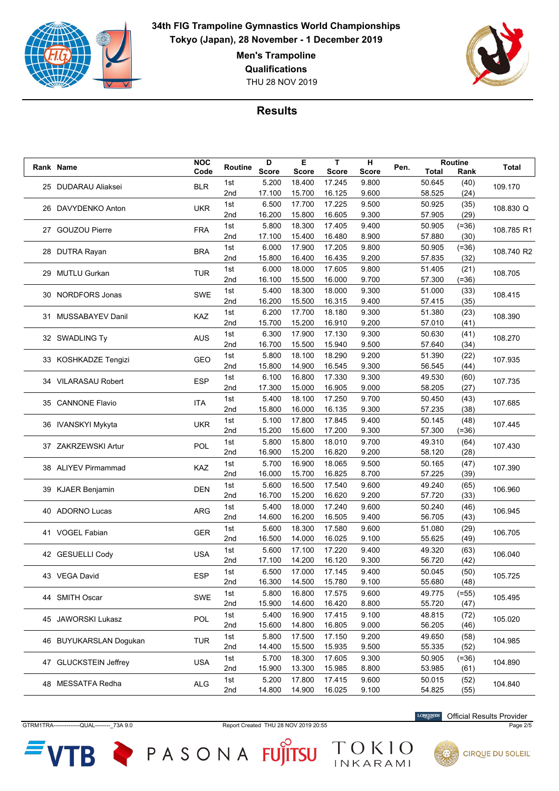

**Men's Trampoline**

**Qualifications**

THU 28 NOV 2019



## **Results**

|  | Rank Name                        | <b>NOC</b> | Routine | D            | Е            | T            | н            | Pen.   |              | Routine   | Total      |
|--|----------------------------------|------------|---------|--------------|--------------|--------------|--------------|--------|--------------|-----------|------------|
|  |                                  | Code       |         | <b>Score</b> | <b>Score</b> | <b>Score</b> | <b>Score</b> |        | <b>Total</b> | Rank      |            |
|  | 25 DUDARAU Aliaksei              | <b>BLR</b> | 1st     | 5.200        | 18.400       | 17.245       | 9.800        |        | 50.645       | (40)      | 109.170    |
|  |                                  |            | 2nd     | 17.100       | 15.700       | 16.125       | 9.600        |        | 58.525       | (24)      |            |
|  | 26 DAVYDENKO Anton               | <b>UKR</b> | 1st     | 6.500        | 17.700       | 17.225       | 9.500        |        | 50.925       | (35)      | 108.830 Q  |
|  |                                  |            | 2nd     | 16.200       | 15.800       | 16.605       | 9.300        |        | 57.905       | (29)      |            |
|  | 27 GOUZOU Pierre                 | <b>FRA</b> | 1st     | 5.800        | 18.300       | 17.405       | 9.400        |        | 50.905       | $( = 36)$ | 108.785 R1 |
|  |                                  |            | 2nd     | 17.100       | 15.400       | 16.480       | 8.900        |        | 57.880       | (30)      |            |
|  |                                  | <b>BRA</b> | 1st     | 6.000        | 17.900       | 17.205       | 9.800        |        | 50.905       | $( = 36)$ | 108.740 R2 |
|  | 28 DUTRA Rayan                   |            | 2nd     | 15.800       | 16.400       | 16.435       | 9.200        |        | 57.835       | (32)      |            |
|  |                                  |            | 1st     | 6.000        | 18.000       | 17.605       | 9.800        |        | 51.405       | (21)      |            |
|  | 29 MUTLU Gurkan                  | <b>TUR</b> | 2nd     | 16.100       | 15.500       | 16.000       | 9.700        |        | 57.300       | $(=36)$   | 108.705    |
|  |                                  |            | 1st     | 5.400        | 18.300       | 18.000       | 9.300        |        | 51.000       | (33)      |            |
|  | 30 NORDFORS Jonas                | <b>SWE</b> | 2nd     | 16.200       | 15.500       | 16.315       | 9.400        |        | 57.415       | (35)      | 108.415    |
|  |                                  |            | 1st     | 6.200        | 17.700       | 18.180       | 9.300        |        | 51.380       | (23)      |            |
|  | 31 MUSSABAYEV Danil              | KAZ        | 2nd     | 15.700       | 15.200       | 16.910       | 9.200        |        | 57.010       | (41)      | 108.390    |
|  |                                  |            | 1st     | 6.300        | 17.900       | 17.130       | 9.300        |        | 50.630       | (41)      |            |
|  | 32 SWADLING Ty                   | <b>AUS</b> | 2nd     | 16.700       | 15.500       | 15.940       | 9.500        |        | 57.640       | (34)      | 108.270    |
|  |                                  |            |         |              |              |              |              |        |              |           |            |
|  | 33 KOSHKADZE Tengizi             | GEO        | 1st     | 5.800        | 18.100       | 18.290       | 9.200        |        | 51.390       | (22)      | 107.935    |
|  |                                  |            | 2nd     | 15.800       | 14.900       | 16.545       | 9.300        |        | 56.545       | (44)      |            |
|  | 34 VILARASAU Robert              | <b>ESP</b> | 1st     | 6.100        | 16.800       | 17.330       | 9.300        |        | 49.530       | (60)      | 107.735    |
|  |                                  |            | 2nd     | 17.300       | 15.000       | 16.905       | 9.000        |        | 58.205       | (27)      |            |
|  | 35 CANNONE Flavio                | <b>ITA</b> | 1st     | 5.400        | 18.100       | 17.250       | 9.700        |        | 50.450       | (43)      | 107.685    |
|  |                                  |            | 2nd     | 15.800       | 16.000       | 16.135       | 9.300        |        | 57.235       | (38)      |            |
|  | <b>UKR</b><br>36 IVANSKYI Mykyta |            | 1st     | 5.100        | 17.800       | 17.845       | 9.400        |        | 50.145       | (48)      | 107.445    |
|  |                                  |            | 2nd     | 15.200       | 15.600       | 17.200       | 9.300        |        | 57.300       | $(=36)$   |            |
|  | 37 ZAKRZEWSKI Artur              | POL        | 1st     | 5.800        | 15.800       | 18.010       | 9.700        |        | 49.310       | (64)      | 107.430    |
|  |                                  |            | 2nd     | 16.900       | 15.200       | 16.820       | 9.200        |        | 58.120       | (28)      |            |
|  | 38 ALIYEV Pirmammad              | KAZ        | 1st     | 5.700        | 16.900       | 18.065       | 9.500        |        | 50.165       | (47)      | 107.390    |
|  |                                  |            | 2nd     | 16.000       | 15.700       | 16.825       | 8.700        |        | 57.225       | (39)      |            |
|  | 39 KJAER Benjamin                | <b>DEN</b> | 1st     | 5.600        | 16.500       | 17.540       | 9.600        |        | 49.240       | (65)      | 106.960    |
|  |                                  |            | 2nd     | 16.700       | 15.200       | 16.620       | 9.200        |        | 57.720       | (33)      |            |
|  |                                  |            | 1st     | 5.400        | 18.000       | 17.240       | 9.600        |        | 50.240       | (46)      |            |
|  | 40 ADORNO Lucas                  | <b>ARG</b> | 2nd     | 14.600       | 16.200       | 16.505       | 9.400        |        | 56.705       | (43)      | 106.945    |
|  |                                  |            | 1st     | 5.600        | 18.300       | 17.580       | 9.600        |        | 51.080       | (29)      |            |
|  | 41 VOGEL Fabian                  | <b>GER</b> | 2nd     | 16.500       | 14.000       | 16.025       | 9.100        |        | 55.625       | (49)      | 106.705    |
|  |                                  |            | 1st     | 5.600        | 17.100       | 17.220       | 9.400        |        | 49.320       | (63)      |            |
|  | 42 GESUELLI Cody                 | <b>USA</b> | 2nd     | 17.100       | 14.200       | 16.120       | 9.300        |        | 56.720       | (42)      | 106.040    |
|  |                                  |            | 1st     | 6.500        | 17.000       | 17.145       | 9.400        |        | 50.045       | (50)      |            |
|  | 43 VEGA David                    | <b>ESP</b> | 2nd     | 16.300       | 14.500       | 15.780       | 9.100        |        | 55.680       | (48)      | 105.725    |
|  |                                  |            | 1st     | 5.800        | 16.800       | 17.575       | 9.600        |        | 49.775       | $(=55)$   |            |
|  | 44 SMITH Oscar                   | <b>SWE</b> | 2nd     | 15.900       | 14.600       | 16.420       | 8.800        |        | 55.720       | (47)      | 105.495    |
|  |                                  |            |         |              |              |              |              |        |              |           |            |
|  | 45 JAWORSKI Lukasz               | POL        | 1st     | 5.400        | 16.900       | 17.415       | 9.100        |        | 48.815       | (72)      | 105.020    |
|  |                                  |            | 2nd     | 15.600       | 14.800       | 16.805       | 9.000        |        | 56.205       | (46)      |            |
|  | 46 BUYUKARSLAN Doqukan           | <b>TUR</b> | 1st     | 5.800        | 17.500       | 17.150       | 9.200        |        | 49.650       | (58)      | 104.985    |
|  |                                  |            | 2nd     | 14.400       | 15.500       | 15.935       | 9.500        |        | 55.335       | (52)      |            |
|  | 47 GLUCKSTEIN Jeffrey            | <b>USA</b> | 1st     | 5.700        | 18.300       | 17.605       | 9.300        |        | 50.905       | $( = 36)$ | 104.890    |
|  |                                  |            | 2nd     | 15.900       | 13.300       | 15.985       | 8.800        |        | 53.985       | (61)      |            |
|  | 48 MESSATFA Redha                | <b>ALG</b> | 1st     | 5.200        | 17.800       | 17.415       | 9.600        |        | 50.015       | (52)      | 104.840    |
|  |                                  | 2nd        | 14.800  | 14.900       | 16.025       | 9.100        |              | 54.825 | (55)         |           |            |

GTRM1TRA--------------QUAL--------\_73A 9.0 Report Created THU 28 NOV 2019 20:55 Page 2/5

ГB

TOKIO

PASONA FUJITSU

Official Results Provider

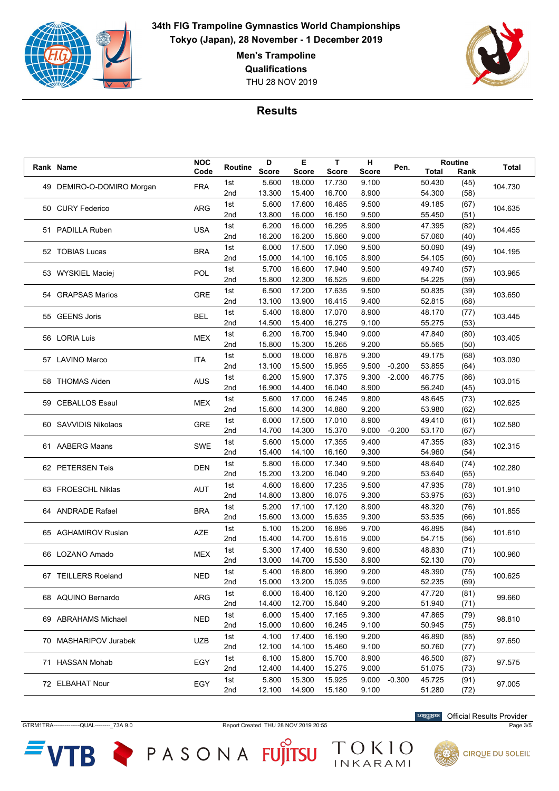

**Men's Trampoline**

**Qualifications**

THU 28 NOV 2019



## **Results**

| Rank Name                 | <b>NOC</b> | Routine         | D            | Е            | T            | н            | Pen.     |                  | Routine      | <b>Total</b> |
|---------------------------|------------|-----------------|--------------|--------------|--------------|--------------|----------|------------------|--------------|--------------|
|                           | Code       |                 | <b>Score</b> | <b>Score</b> | <b>Score</b> | <b>Score</b> |          | Total            | Rank         |              |
| 49 DEMIRO-O-DOMIRO Morgan | <b>FRA</b> | 1st             | 5.600        | 18.000       | 17.730       | 9.100        |          | 50.430           | (45)         | 104.730      |
|                           |            | 2nd             | 13.300       | 15.400       | 16.700       | 8.900        |          | 54.300           | (58)         |              |
| 50 CURY Federico          | <b>ARG</b> | 1st             | 5.600        | 17.600       | 16.485       | 9.500        |          | 49.185           | (67)         | 104.635      |
|                           |            | 2nd             | 13.800       | 16.000       | 16.150       | 9.500        |          | 55.450           | (51)         |              |
| 51 PADILLA Ruben          | <b>USA</b> | 1st             | 6.200        | 16.000       | 16.295       | 8.900        |          | 47.395           | (82)         | 104.455      |
|                           |            | 2nd             | 16.200       | 16.200       | 15.660       | 9.000        |          | 57.060           | (40)         |              |
| 52 TOBIAS Lucas           |            | 1st             | 6.000        | 17.500       | 17.090       | 9.500        |          | 50.090           | (49)         |              |
|                           | <b>BRA</b> | 2nd             | 15.000       | 14.100       | 16.105       | 8.900        |          | 54.105           | (60)         | 104.195      |
|                           |            | 1st             | 5.700        | 16.600       | 17.940       | 9.500        |          | 49.740           | (57)         |              |
| 53 WYSKIEL Maciej         | <b>POL</b> | 2nd             | 15.800       | 12.300       | 16.525       | 9.600        |          | 54.225           | (59)         | 103.965      |
|                           |            | 1st             | 6.500        | 17.200       | 17.635       | 9.500        |          | 50.835           | (39)         |              |
| 54 GRAPSAS Marios         | <b>GRE</b> | 2nd             | 13.100       | 13.900       | 16.415       | 9.400        |          | 52.815           | (68)         | 103.650      |
|                           |            | 1st             | 5.400        | 16.800       | 17.070       | 8.900        |          | 48.170           | (77)         |              |
| 55 GEENS Joris            | <b>BEL</b> | 2nd             | 14.500       | 15.400       | 16.275       | 9.100        |          | 55.275           | (53)         | 103.445      |
|                           |            | 1st             | 6.200        | 16.700       | 15.940       | 9.000        |          | 47.840           | (80)         |              |
| 56 LORIA Luis             | <b>MEX</b> | 2nd             | 15.800       | 15.300       | 15.265       | 9.200        |          | 55.565           | (50)         | 103.405      |
|                           |            | 1st             | 5.000        | 18.000       | 16.875       | 9.300        |          | 49.175           |              |              |
| 57 LAVINO Marco           | ITA        |                 |              |              |              |              |          |                  | (68)         | 103.030      |
|                           |            | 2nd             | 13.100       | 15.500       | 15.955       | 9.500        | $-0.200$ | 53.855           | (64)         |              |
| 58 THOMAS Aiden           | <b>AUS</b> | 1st             | 6.200        | 15.900       | 17.375       | 9.300        | $-2.000$ | 46.775           | (86)         | 103.015      |
|                           |            | 2nd             | 16.900       | 14.400       | 16.040       | 8.900        |          | 56.240           | (45)         |              |
| 59 CEBALLOS Esaul         | <b>MEX</b> | 1st             | 5.600        | 17.000       | 16.245       | 9.800        |          | 48.645           | (73)         | 102.625      |
|                           |            | 2nd             | 15.600       | 14.300       | 14.880       | 9.200        |          | 53.980           | (62)         |              |
| 60 SAVVIDIS Nikolaos      | <b>GRE</b> | 1st             | 6.000        | 17.500       | 17.010       | 8.900        |          | 49.410           | (61)         | 102.580      |
|                           |            | 2nd             | 14.700       | 14.300       | 15.370       | 9.000        | $-0.200$ | 53.170           | (67)         |              |
| 61 AABERG Maans           | <b>SWE</b> | 1st             | 5.600        | 15.000       | 17.355       | 9.400        |          | 47.355           | (83)         | 102.315      |
|                           |            | 2nd             | 15.400       | 14.100       | 16.160       | 9.300        |          | 54.960           | (54)         |              |
| 62 PETERSEN Teis          | <b>DEN</b> | 1st             | 5.800        | 16.000       | 17.340       | 9.500        |          | 48.640           | (74)         | 102.280      |
|                           |            | 2nd             | 15.200       | 13.200       | 16.040       | 9.200        |          | 53.640           | (65)         |              |
| 63 FROESCHL Niklas        | AUT        | 1st             | 4.600        | 16.600       | 17.235       | 9.500        |          | 47.935           | (78)         | 101.910      |
|                           |            | 2nd             | 14.800       | 13.800       | 16.075       | 9.300        |          | 53.975           | (63)         |              |
| 64 ANDRADE Rafael         | <b>BRA</b> | 1st             | 5.200        | 17.100       | 17.120       | 8.900        |          | 48.320           | (76)         | 101.855      |
|                           |            | 2 <sub>nd</sub> | 15.600       | 13.000       | 15.635       | 9.300        |          | 53.535           | (66)         |              |
| 65 AGHAMIROV Ruslan       | <b>AZE</b> | 1st             | 5.100        | 15.200       | 16.895       | 9.700        |          | 46.895           | (84)         | 101.610      |
|                           |            | 2nd             | 15.400       | 14.700       | 15.615       | 9.000        |          | 54.715           | (56)         |              |
|                           |            | 1st             | 5.300        | 17.400       | 16.530       | 9.600        |          | 48.830           | (71)         |              |
| 66 LOZANO Amado           | MEX        | 2nd             | 13.000       | 14.700       | 15.530       | 8.900        |          | 52.130           | (70)         | 100.960      |
|                           |            | 1st             | 5.400        | 16.800       | 16.990       | 9.200        |          | 48.390           | (75)         |              |
| 67 TEILLERS Roeland       | <b>NED</b> | 2nd             | 15.000       | 13.200       | 15.035       | 9.000        |          | 52.235           | (69)         | 100.625      |
|                           |            | 1st             | 6.000        | 16.400       | 16.120       | 9.200        |          | 47.720           | (81)         |              |
| 68 AQUINO Bernardo        | <b>ARG</b> | 2nd             | 14.400       | 12.700       | 15.640       | 9.200        |          | 51.940           | (71)         | 99.660       |
|                           |            | 1st             | 6.000        | 15.400       | 17.165       | 9.300        |          | 47.865           | (79)         |              |
| 69 ABRAHAMS Michael       | <b>NED</b> | 2nd             | 15.000       | 10.600       | 16.245       | 9.100        |          | 50.945           | (75)         | 98.810       |
|                           |            |                 | 4.100        | 17.400       | 16.190       | 9.200        |          |                  |              |              |
| 70 MASHARIPOV Jurabek     | UZB        | 1st<br>2nd      | 12.100       | 14.100       | 15.460       | 9.100        |          | 46.890<br>50.760 | (85)<br>(77) | 97.650       |
|                           |            |                 |              |              |              |              |          |                  |              |              |
| 71 HASSAN Mohab           | EGY        | 1st             | 6.100        | 15.800       | 15.700       | 8.900        |          | 46.500           | (87)         | 97.575       |
|                           |            | 2nd             | 12.400       | 14.400       | 15.275       | 9.000        |          | 51.075           | (73)         |              |
| 72 ELBAHAT Nour           | EGY        | 1st             | 5.800        | 15.300       | 15.925       | 9.000        | $-0.300$ | 45.725           | (91)         | 97.005       |
|                           |            | 2nd             | 12.100       | 14.900       | 15.180       | 9.100        |          | 51.280           | (72)         |              |

GTRM1TRA--------------QUAL--------\_73A 9.0 Report Created THU 28 NOV 2019 20:55 Page 3/5

ГB

TOKIO

PASONA FUJITSU

Official Results Provider

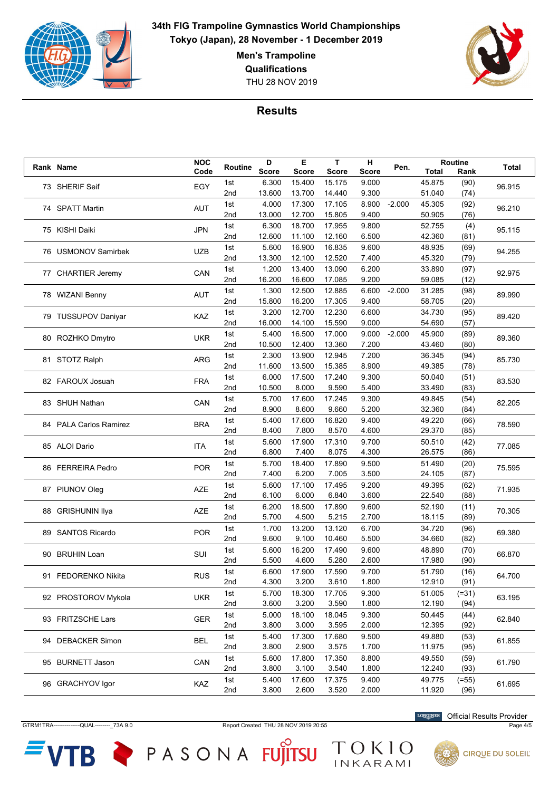

**Men's Trampoline**

**Qualifications**

THU 28 NOV 2019



## **Results**

|  | Rank Name                            | <b>NOC</b> | Routine | D            | Е            | T            | н            | Pen.     |              | <b>Routine</b> | <b>Total</b> |
|--|--------------------------------------|------------|---------|--------------|--------------|--------------|--------------|----------|--------------|----------------|--------------|
|  |                                      | Code       |         | <b>Score</b> | <b>Score</b> | <b>Score</b> | <b>Score</b> |          | <b>Total</b> | Rank           |              |
|  | 73 SHERIF Seif                       | EGY        | 1st     | 6.300        | 15.400       | 15.175       | 9.000        |          | 45.875       | (90)           | 96.915       |
|  |                                      |            | 2nd     | 13.600       | 13.700       | 14.440       | 9.300        |          | 51.040       | (74)           |              |
|  | 74 SPATT Martin                      | <b>AUT</b> | 1st     | 4.000        | 17.300       | 17.105       | 8.900        | $-2.000$ | 45.305       | (92)           | 96.210       |
|  |                                      |            | 2nd     | 13.000       | 12.700       | 15.805       | 9.400        |          | 50.905       | (76)           |              |
|  | 75 KISHI Daiki                       | <b>JPN</b> | 1st     | 6.300        | 18.700       | 17.955       | 9.800        |          | 52.755       | (4)            | 95.115       |
|  |                                      |            | 2nd     | 12.600       | 11.100       | 12.160       | 6.500        |          | 42.360       | (81)           |              |
|  |                                      |            | 1st     | 5.600        | 16.900       | 16.835       | 9.600        |          | 48.935       | (69)           |              |
|  | 76 USMONOV Samirbek                  | <b>UZB</b> | 2nd     | 13.300       | 12.100       | 12.520       | 7.400        |          | 45.320       | (79)           | 94.255       |
|  |                                      |            | 1st     | 1.200        | 13.400       | 13.090       | 6.200        |          | 33.890       | (97)           |              |
|  | 77 CHARTIER Jeremy                   | CAN        | 2nd     | 16.200       | 16.600       | 17.085       | 9.200        |          | 59.085       | (12)           | 92.975       |
|  |                                      |            | 1st     | 1.300        | 12.500       | 12.885       | 6.600        | $-2.000$ | 31.285       | (98)           |              |
|  | 78 WIZANI Benny                      | <b>AUT</b> | 2nd     | 15.800       | 16.200       | 17.305       | 9.400        |          | 58.705       | (20)           | 89.990       |
|  |                                      |            |         | 3.200        |              |              | 6.600        |          | 34.730       |                |              |
|  | 79 TUSSUPOV Daniyar                  | KAZ        | 1st     |              | 12.700       | 12.230       |              |          |              | (95)           | 89.420       |
|  |                                      |            | 2nd     | 16.000       | 14.100       | 15.590       | 9.000        |          | 54.690       | (57)           |              |
|  | 80 ROZHKO Dmytro                     | <b>UKR</b> | 1st     | 5.400        | 16.500       | 17.000       | 9.000        | $-2.000$ | 45.900       | (89)           | 89.360       |
|  |                                      |            | 2nd     | 10.500       | 12.400       | 13.360       | 7.200        |          | 43.460       | (80)           |              |
|  | 81 STOTZ Ralph                       | <b>ARG</b> | 1st     | 2.300        | 13.900       | 12.945       | 7.200        |          | 36.345       | (94)           | 85.730       |
|  |                                      |            | 2nd     | 11.600       | 13.500       | 15.385       | 8.900        |          | 49.385       | (78)           |              |
|  | 82 FAROUX Josuah                     | <b>FRA</b> | 1st     | 6.000        | 17.500       | 17.240       | 9.300        |          | 50.040       | (51)           | 83.530       |
|  |                                      |            | 2nd     | 10.500       | 8.000        | 9.590        | 5.400        |          | 33.490       | (83)           |              |
|  | 83 SHUH Nathan                       | CAN        | 1st     | 5.700        | 17.600       | 17.245       | 9.300        |          | 49.845       | (54)           | 82.205       |
|  |                                      |            | 2nd     | 8.900        | 8.600        | 9.660        | 5.200        |          | 32.360       | (84)           |              |
|  | <b>BRA</b><br>84 PALA Carlos Ramirez |            | 1st     | 5.400        | 17.600       | 16.820       | 9.400        |          | 49.220       | (66)           | 78.590       |
|  |                                      |            | 2nd     | 8.400        | 7.800        | 8.570        | 4.600        |          | 29.370       | (85)           |              |
|  |                                      |            | 1st     | 5.600        | 17.900       | 17.310       | 9.700        |          | 50.510       | (42)           |              |
|  | 85 ALOI Dario                        | <b>ITA</b> | 2nd     | 6.800        | 7.400        | 8.075        | 4.300        |          | 26.575       | (86)           | 77.085       |
|  |                                      |            | 1st     | 5.700        | 18.400       | 17.890       | 9.500        |          | 51.490       | (20)           |              |
|  | 86 FERREIRA Pedro                    | <b>POR</b> | 2nd     | 7.400        | 6.200        | 7.005        | 3.500        |          | 24.105       | (87)           | 75.595       |
|  |                                      |            | 1st     | 5.600        | 17.100       | 17.495       | 9.200        |          | 49.395       | (62)           |              |
|  | 87 PIUNOV Oleg                       | <b>AZE</b> | 2nd     | 6.100        | 6.000        | 6.840        | 3.600        |          | 22.540       | (88)           | 71.935       |
|  |                                      |            | 1st     | 6.200        | 18.500       | 17.890       | 9.600        |          | 52.190       | (11)           |              |
|  | 88 GRISHUNIN Ilya                    | <b>AZE</b> | 2nd     | 5.700        | 4.500        | 5.215        | 2.700        |          | 18.115       | (89)           | 70.305       |
|  |                                      |            |         |              |              |              |              |          |              |                |              |
|  | 89 SANTOS Ricardo                    | <b>POR</b> | 1st     | 1.700        | 13.200       | 13.120       | 6.700        |          | 34.720       | (96)           | 69.380       |
|  |                                      |            | 2nd     | 9.600        | 9.100        | 10.460       | 5.500        |          | 34.660       | (82)           |              |
|  | 90 BRUHIN Loan                       | SUI        | 1st     | 5.600        | 16.200       | 17.490       | 9.600        |          | 48.890       | (70)           | 66.870       |
|  |                                      |            | 2nd     | 5.500        | 4.600        | 5.280        | 2.600        |          | 17.980       | (90)           |              |
|  | 91 FEDORENKO Nikita                  | <b>RUS</b> | 1st     | 6.600        | 17.900       | 17.590       | 9.700        |          | 51.790       | (16)           | 64.700       |
|  |                                      |            | 2nd     | 4.300        | 3.200        | 3.610        | 1.800        |          | 12.910       | (91)           |              |
|  | 92 PROSTOROV Mykola                  | <b>UKR</b> | 1st     | 5.700        | 18.300       | 17.705       | 9.300        |          | 51.005       | $(=31)$        | 63.195       |
|  |                                      |            | 2nd     | 3.600        | 3.200        | 3.590        | 1.800        |          | 12.190       | (94)           |              |
|  | 93 FRITZSCHE Lars                    | GER        | 1st     | 5.000        | 18.100       | 18.045       | 9.300        |          | 50.445       | (44)           | 62.840       |
|  |                                      |            | 2nd     | 3.800        | 3.000        | 3.595        | 2.000        |          | 12.395       | (92)           |              |
|  | 94 DEBACKER Simon                    | <b>BEL</b> | 1st     | 5.400        | 17.300       | 17.680       | 9.500        |          | 49.880       | (53)           |              |
|  |                                      |            | 2nd     | 3.800        | 2.900        | 3.575        | 1.700        |          | 11.975       | (95)           | 61.855       |
|  |                                      |            | 1st     | 5.600        | 17.800       | 17.350       | 8.800        |          | 49.550       | (59)           |              |
|  | 95 BURNETT Jason                     | CAN        | 2nd     | 3.800        | 3.100        | 3.540        | 1.800        |          | 12.240       | (93)           | 61.790       |
|  |                                      |            | 1st     | 5.400        | 17.600       | 17.375       | 9.400        |          | 49.775       | $(=55)$        |              |
|  | 96 GRACHYOV Igor                     | KAZ        | 2nd     | 3.800        | 2.600        | 3.520        | 2.000        |          | 11.920       | (96)           | 61.695       |

GTRM1TRA--------------QUAL---------- 73A 9.0 Report Created THU 28 NOV 2019 20:55 Page 4/5

ГB

TOKIO

PASONA FUJITSU

Official Results Provider